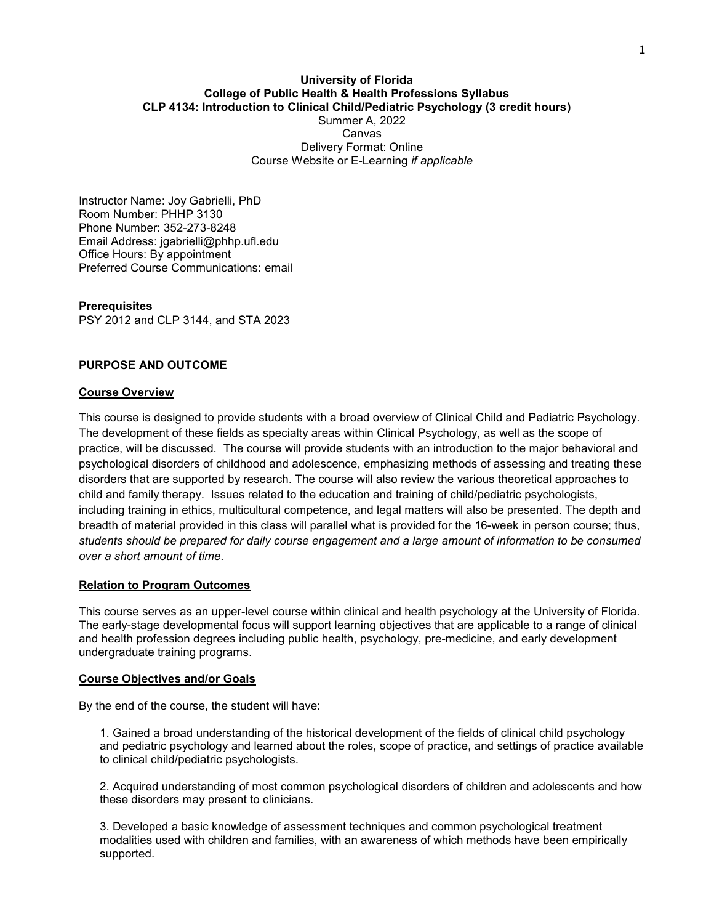## **University of Florida College of Public Health & Health Professions Syllabus CLP 4134: Introduction to Clinical Child/Pediatric Psychology (3 credit hours)** Summer A, 2022 Canvas Delivery Format: Online Course Website or E-Learning *if applicable*

Instructor Name: Joy Gabrielli, PhD Room Number: PHHP 3130 Phone Number: 352-273-8248 Email Address: jgabrielli@phhp.ufl.edu Office Hours: By appointment Preferred Course Communications: email

**Prerequisites** PSY [2012](https://catalog.ufl.edu/search/?P=PSY%202012) and CLP [3144,](https://catalog.ufl.edu/search/?P=CLP%203144) and STA [2023](https://catalog.ufl.edu/search/?P=STA%202023)

# **PURPOSE AND OUTCOME**

### **Course Overview**

This course is designed to provide students with a broad overview of Clinical Child and Pediatric Psychology. The development of these fields as specialty areas within Clinical Psychology, as well as the scope of practice, will be discussed. The course will provide students with an introduction to the major behavioral and psychological disorders of childhood and adolescence, emphasizing methods of assessing and treating these disorders that are supported by research. The course will also review the various theoretical approaches to child and family therapy. Issues related to the education and training of child/pediatric psychologists, including training in ethics, multicultural competence, and legal matters will also be presented. The depth and breadth of material provided in this class will parallel what is provided for the 16-week in person course; thus, *students should be prepared for daily course engagement and a large amount of information to be consumed over a short amount of time*.

# **Relation to Program Outcomes**

This course serves as an upper-level course within clinical and health psychology at the University of Florida. The early-stage developmental focus will support learning objectives that are applicable to a range of clinical and health profession degrees including public health, psychology, pre-medicine, and early development undergraduate training programs.

#### **Course Objectives and/or Goals**

By the end of the course, the student will have:

1. Gained a broad understanding of the historical development of the fields of clinical child psychology and pediatric psychology and learned about the roles, scope of practice, and settings of practice available to clinical child/pediatric psychologists.

2. Acquired understanding of most common psychological disorders of children and adolescents and how these disorders may present to clinicians.

3. Developed a basic knowledge of assessment techniques and common psychological treatment modalities used with children and families, with an awareness of which methods have been empirically supported.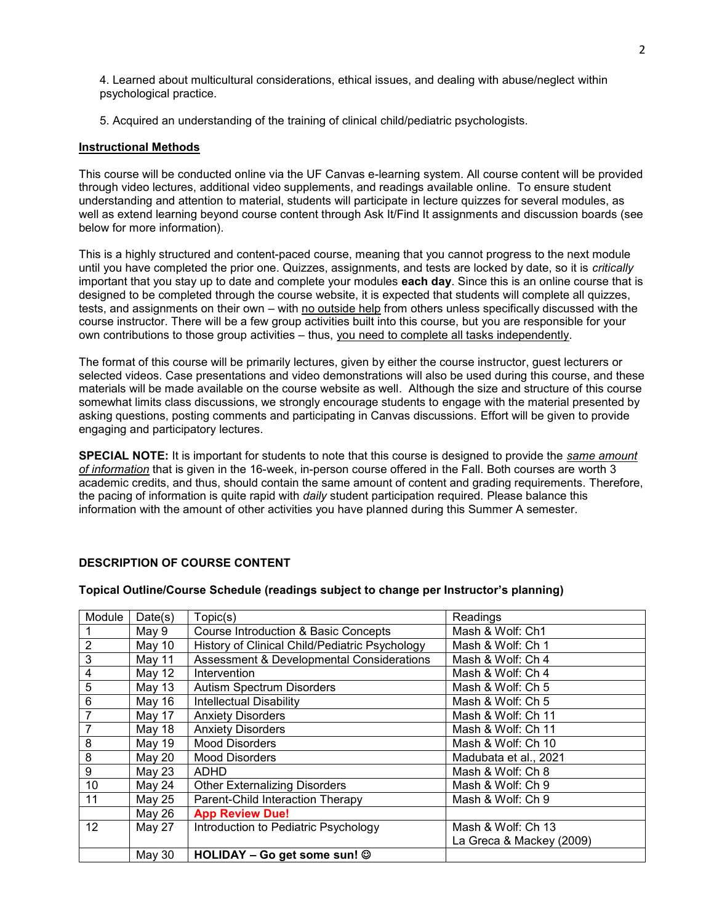4. Learned about multicultural considerations, ethical issues, and dealing with abuse/neglect within psychological practice.

5. Acquired an understanding of the training of clinical child/pediatric psychologists.

# **Instructional Methods**

This course will be conducted online via the UF Canvas e-learning system. All course content will be provided through video lectures, additional video supplements, and readings available online. To ensure student understanding and attention to material, students will participate in lecture quizzes for several modules, as well as extend learning beyond course content through Ask It/Find It assignments and discussion boards (see below for more information).

This is a highly structured and content-paced course, meaning that you cannot progress to the next module until you have completed the prior one. Quizzes, assignments, and tests are locked by date, so it is *critically* important that you stay up to date and complete your modules **each day**. Since this is an online course that is designed to be completed through the course website, it is expected that students will complete all quizzes, tests, and assignments on their own – with no outside help from others unless specifically discussed with the course instructor. There will be a few group activities built into this course, but you are responsible for your own contributions to those group activities – thus, you need to complete all tasks independently.

The format of this course will be primarily lectures, given by either the course instructor, guest lecturers or selected videos. Case presentations and video demonstrations will also be used during this course, and these materials will be made available on the course website as well. Although the size and structure of this course somewhat limits class discussions, we strongly encourage students to engage with the material presented by asking questions, posting comments and participating in Canvas discussions. Effort will be given to provide engaging and participatory lectures.

**SPECIAL NOTE:** It is important for students to note that this course is designed to provide the *same amount of information* that is given in the 16-week, in-person course offered in the Fall. Both courses are worth 3 academic credits, and thus, should contain the same amount of content and grading requirements. Therefore, the pacing of information is quite rapid with *daily* student participation required. Please balance this information with the amount of other activities you have planned during this Summer A semester.

# **DESCRIPTION OF COURSE CONTENT**

## **Topical Outline/Course Schedule (readings subject to change per Instructor's planning)**

| Module         | Date(s)  | Topic(s)                                        | Readings                 |
|----------------|----------|-------------------------------------------------|--------------------------|
|                | May 9    | <b>Course Introduction &amp; Basic Concepts</b> | Mash & Wolf: Ch1         |
| $\overline{2}$ | May 10   | History of Clinical Child/Pediatric Psychology  | Mash & Wolf: Ch 1        |
| 3              | May 11   | Assessment & Developmental Considerations       | Mash & Wolf: Ch 4        |
| 4              | May 12   | Intervention                                    | Mash & Wolf: Ch 4        |
| 5              | May $13$ | <b>Autism Spectrum Disorders</b>                | Mash & Wolf: Ch 5        |
| 6              | May 16   | <b>Intellectual Disability</b>                  | Mash & Wolf: Ch 5        |
|                | May 17   | <b>Anxiety Disorders</b>                        | Mash & Wolf: Ch 11       |
| 7              | May 18   | <b>Anxiety Disorders</b>                        | Mash & Wolf: Ch 11       |
| 8              | May 19   | <b>Mood Disorders</b>                           | Mash & Wolf: Ch 10       |
| 8              | May 20   | <b>Mood Disorders</b>                           | Madubata et al., 2021    |
| 9              | May 23   | <b>ADHD</b>                                     | Mash & Wolf: Ch 8        |
| 10             | May 24   | <b>Other Externalizing Disorders</b>            | Mash & Wolf: Ch 9        |
| 11             | May 25   | Parent-Child Interaction Therapy                | Mash & Wolf: Ch 9        |
|                | May 26   | <b>App Review Due!</b>                          |                          |
| 12             | May 27   | Introduction to Pediatric Psychology            | Mash & Wolf: Ch 13       |
|                |          |                                                 | La Greca & Mackey (2009) |
|                | May 30   | HOLIDAY - Go get some sun! @                    |                          |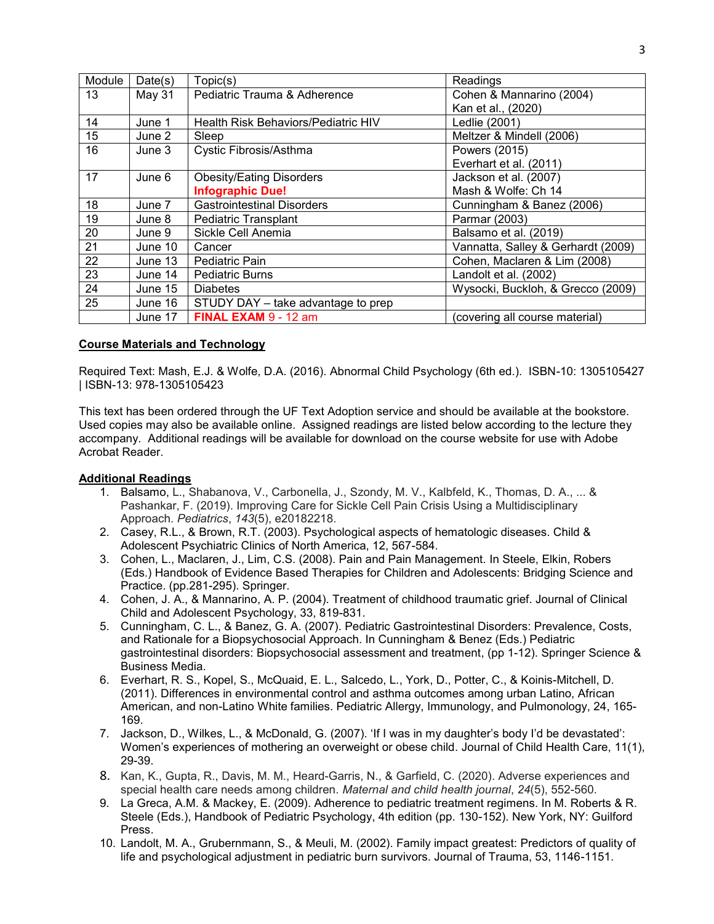| Module | Date(s) | Topic(s)                            | Readings                           |
|--------|---------|-------------------------------------|------------------------------------|
| 13     | May 31  | Pediatric Trauma & Adherence        | Cohen & Mannarino (2004)           |
|        |         |                                     | Kan et al., (2020)                 |
| 14     | June 1  | Health Risk Behaviors/Pediatric HIV | Ledlie (2001)                      |
| 15     | June 2  | Sleep                               | Meltzer & Mindell (2006)           |
| 16     | June 3  | Cystic Fibrosis/Asthma              | Powers (2015)                      |
|        |         |                                     | Everhart et al. (2011)             |
| 17     | June 6  | <b>Obesity/Eating Disorders</b>     | Jackson et al. (2007)              |
|        |         | <b>Infographic Due!</b>             | Mash & Wolfe: Ch 14                |
| 18     | June 7  | <b>Gastrointestinal Disorders</b>   | Cunningham & Banez (2006)          |
| 19     | June 8  | <b>Pediatric Transplant</b>         | Parmar (2003)                      |
| 20     | June 9  | Sickle Cell Anemia                  | Balsamo et al. (2019)              |
| 21     | June 10 | Cancer                              | Vannatta, Salley & Gerhardt (2009) |
| 22     | June 13 | Pediatric Pain                      | Cohen, Maclaren & Lim (2008)       |
| 23     | June 14 | <b>Pediatric Burns</b>              | Landolt et al. (2002)              |
| 24     | June 15 | <b>Diabetes</b>                     | Wysocki, Buckloh, & Grecco (2009)  |
| 25     | June 16 | STUDY DAY - take advantage to prep  |                                    |
|        | June 17 | FINAL EXAM 9 - 12 am                | (covering all course material)     |

# **Course Materials and Technology**

Required Text: Mash, E.J. & Wolfe, D.A. (2016). Abnormal Child Psychology (6th ed.). ISBN-10: 1305105427 | ISBN-13: 978-1305105423

This text has been ordered through the UF Text Adoption service and should be available at the bookstore. Used copies may also be available online. Assigned readings are listed below according to the lecture they accompany. Additional readings will be available for download on the course website for use with Adobe Acrobat Reader.

# **Additional Readings**

- 1. Balsamo, L., Shabanova, V., Carbonella, J., Szondy, M. V., Kalbfeld, K., Thomas, D. A., ... & Pashankar, F. (2019). Improving Care for Sickle Cell Pain Crisis Using a Multidisciplinary Approach. *Pediatrics*, *143*(5), e20182218.
- 2. Casey, R.L., & Brown, R.T. (2003). Psychological aspects of hematologic diseases. Child & Adolescent Psychiatric Clinics of North America, 12, 567-584.
- 3. Cohen, L., Maclaren, J., Lim, C.S. (2008). Pain and Pain Management. In Steele, Elkin, Robers (Eds.) Handbook of Evidence Based Therapies for Children and Adolescents: Bridging Science and Practice. (pp.281-295). Springer.
- 4. Cohen, J. A., & Mannarino, A. P. (2004). Treatment of childhood traumatic grief. Journal of Clinical Child and Adolescent Psychology, 33, 819-831.
- 5. Cunningham, C. L., & Banez, G. A. (2007). Pediatric Gastrointestinal Disorders: Prevalence, Costs, and Rationale for a Biopsychosocial Approach. In Cunningham & Benez (Eds.) Pediatric gastrointestinal disorders: Biopsychosocial assessment and treatment, (pp 1-12). Springer Science & Business Media.
- 6. Everhart, R. S., Kopel, S., McQuaid, E. L., Salcedo, L., York, D., Potter, C., & Koinis-Mitchell, D. (2011). Differences in environmental control and asthma outcomes among urban Latino, African American, and non-Latino White families. Pediatric Allergy, Immunology, and Pulmonology, 24, 165- 169.
- 7. Jackson, D., Wilkes, L., & McDonald, G. (2007). 'If I was in my daughter's body I'd be devastated': Women's experiences of mothering an overweight or obese child. Journal of Child Health Care, 11(1), 29-39.
- 8. Kan, K., Gupta, R., Davis, M. M., Heard-Garris, N., & Garfield, C. (2020). Adverse experiences and special health care needs among children. *Maternal and child health journal*, *24*(5), 552-560.
- 9. La Greca, A.M. & Mackey, E. (2009). Adherence to pediatric treatment regimens. In M. Roberts & R. Steele (Eds.), Handbook of Pediatric Psychology, 4th edition (pp. 130-152). New York, NY: Guilford Press.
- 10. Landolt, M. A., Grubernmann, S., & Meuli, M. (2002). Family impact greatest: Predictors of quality of life and psychological adjustment in pediatric burn survivors. Journal of Trauma, 53, 1146-1151.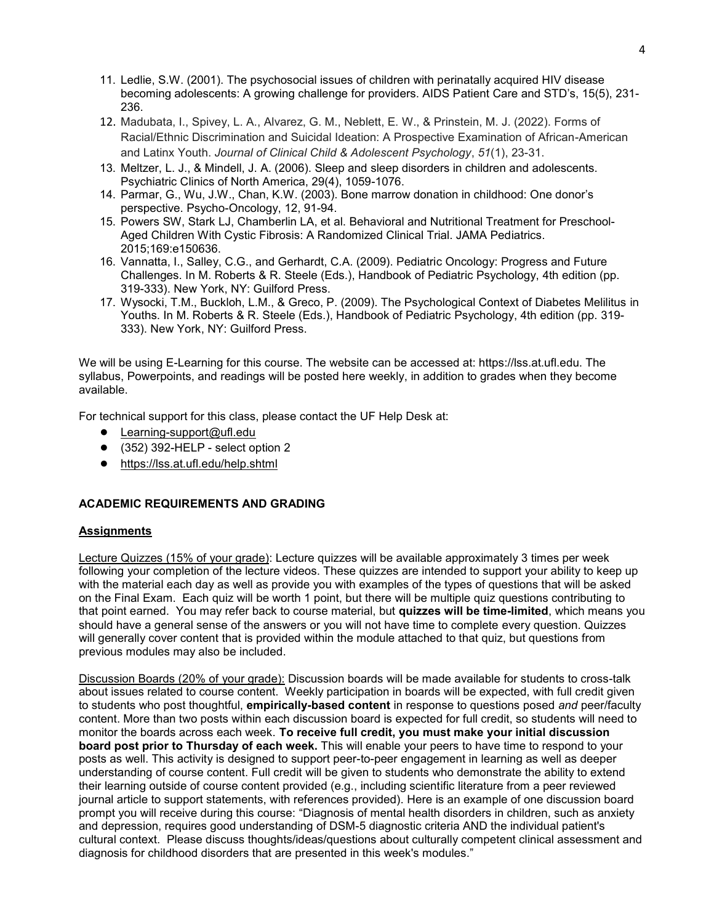- 11. Ledlie, S.W. (2001). The psychosocial issues of children with perinatally acquired HIV disease becoming adolescents: A growing challenge for providers. AIDS Patient Care and STD's, 15(5), 231- 236.
- 12. Madubata, I., Spivey, L. A., Alvarez, G. M., Neblett, E. W., & Prinstein, M. J. (2022). Forms of Racial/Ethnic Discrimination and Suicidal Ideation: A Prospective Examination of African-American and Latinx Youth. *Journal of Clinical Child & Adolescent Psychology*, *51*(1), 23-31.
- 13. Meltzer, L. J., & Mindell, J. A. (2006). Sleep and sleep disorders in children and adolescents. Psychiatric Clinics of North America, 29(4), 1059-1076.
- 14. Parmar, G., Wu, J.W., Chan, K.W. (2003). Bone marrow donation in childhood: One donor's perspective. Psycho-Oncology, 12, 91-94.
- 15. Powers SW, Stark LJ, Chamberlin LA, et al. Behavioral and Nutritional Treatment for Preschool-Aged Children With Cystic Fibrosis: A Randomized Clinical Trial. JAMA Pediatrics. 2015;169:e150636.
- 16. Vannatta, I., Salley, C.G., and Gerhardt, C.A. (2009). Pediatric Oncology: Progress and Future Challenges. In M. Roberts & R. Steele (Eds.), Handbook of Pediatric Psychology, 4th edition (pp. 319-333). New York, NY: Guilford Press.
- 17. Wysocki, T.M., Buckloh, L.M., & Greco, P. (2009). The Psychological Context of Diabetes Melilitus in Youths. In M. Roberts & R. Steele (Eds.), Handbook of Pediatric Psychology, 4th edition (pp. 319- 333). New York, NY: Guilford Press.

We will be using E-Learning for this course. The website can be accessed at: https://lss.at.ufl.edu. The syllabus, Powerpoints, and readings will be posted here weekly, in addition to grades when they become available.

For technical support for this class, please contact the UF Help Desk at:

- [Learning-support@ufl.edu](file:///C:/Users/hackg/Desktop/Learning-support@ufl.edu)
- (352) 392-HELP select option 2
- <https://lss.at.ufl.edu/help.shtml>

# **ACADEMIC REQUIREMENTS AND GRADING**

# **Assignments**

Lecture Quizzes (15% of your grade): Lecture quizzes will be available approximately 3 times per week following your completion of the lecture videos. These quizzes are intended to support your ability to keep up with the material each day as well as provide you with examples of the types of questions that will be asked on the Final Exam. Each quiz will be worth 1 point, but there will be multiple quiz questions contributing to that point earned. You may refer back to course material, but **quizzes will be time-limited**, which means you should have a general sense of the answers or you will not have time to complete every question. Quizzes will generally cover content that is provided within the module attached to that quiz, but questions from previous modules may also be included.

Discussion Boards (20% of your grade): Discussion boards will be made available for students to cross-talk about issues related to course content. Weekly participation in boards will be expected, with full credit given to students who post thoughtful, **empirically-based content** in response to questions posed *and* peer/faculty content. More than two posts within each discussion board is expected for full credit, so students will need to monitor the boards across each week. **To receive full credit, you must make your initial discussion board post prior to Thursday of each week.** This will enable your peers to have time to respond to your posts as well. This activity is designed to support peer-to-peer engagement in learning as well as deeper understanding of course content. Full credit will be given to students who demonstrate the ability to extend their learning outside of course content provided (e.g., including scientific literature from a peer reviewed journal article to support statements, with references provided). Here is an example of one discussion board prompt you will receive during this course: "Diagnosis of mental health disorders in children, such as anxiety and depression, requires good understanding of DSM-5 diagnostic criteria AND the individual patient's cultural context. Please discuss thoughts/ideas/questions about culturally competent clinical assessment and diagnosis for childhood disorders that are presented in this week's modules."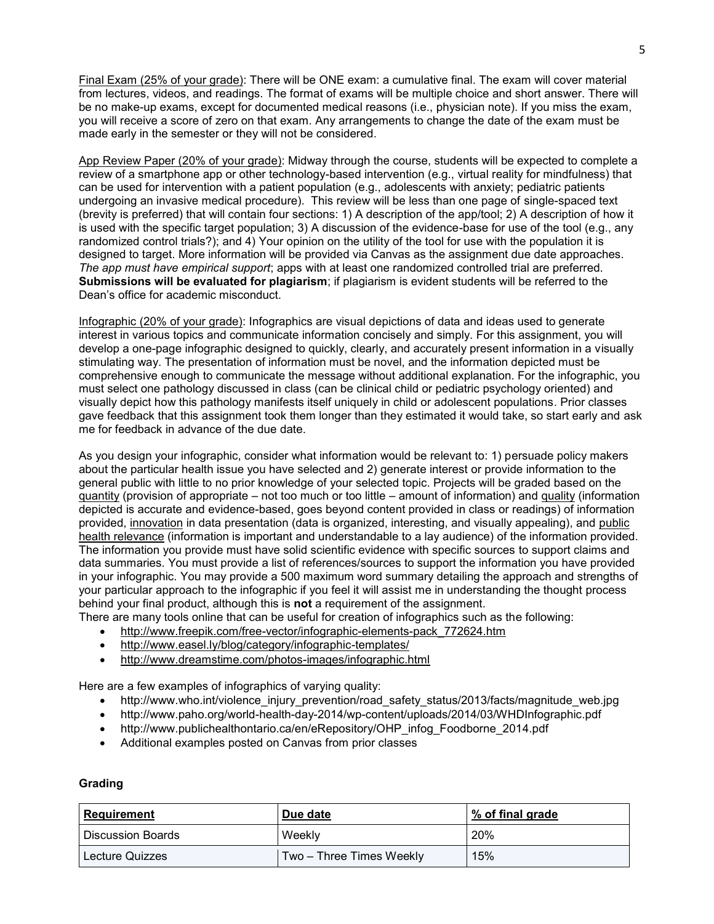Final Exam (25% of your grade): There will be ONE exam: a cumulative final. The exam will cover material from lectures, videos, and readings. The format of exams will be multiple choice and short answer. There will be no make-up exams, except for documented medical reasons (i.e., physician note). If you miss the exam, you will receive a score of zero on that exam. Any arrangements to change the date of the exam must be made early in the semester or they will not be considered.

App Review Paper (20% of your grade): Midway through the course, students will be expected to complete a review of a smartphone app or other technology-based intervention (e.g., virtual reality for mindfulness) that can be used for intervention with a patient population (e.g., adolescents with anxiety; pediatric patients undergoing an invasive medical procedure). This review will be less than one page of single-spaced text (brevity is preferred) that will contain four sections: 1) A description of the app/tool; 2) A description of how it is used with the specific target population; 3) A discussion of the evidence-base for use of the tool (e.g., any randomized control trials?); and 4) Your opinion on the utility of the tool for use with the population it is designed to target. More information will be provided via Canvas as the assignment due date approaches. *The app must have empirical support*; apps with at least one randomized controlled trial are preferred. **Submissions will be evaluated for plagiarism**; if plagiarism is evident students will be referred to the Dean's office for academic misconduct.

Infographic (20% of your grade): Infographics are visual depictions of data and ideas used to generate interest in various topics and communicate information concisely and simply. For this assignment, you will develop a one-page infographic designed to quickly, clearly, and accurately present information in a visually stimulating way. The presentation of information must be novel, and the information depicted must be comprehensive enough to communicate the message without additional explanation. For the infographic, you must select one pathology discussed in class (can be clinical child or pediatric psychology oriented) and visually depict how this pathology manifests itself uniquely in child or adolescent populations. Prior classes gave feedback that this assignment took them longer than they estimated it would take, so start early and ask me for feedback in advance of the due date.

As you design your infographic, consider what information would be relevant to: 1) persuade policy makers about the particular health issue you have selected and 2) generate interest or provide information to the general public with little to no prior knowledge of your selected topic. Projects will be graded based on the quantity (provision of appropriate – not too much or too little – amount of information) and quality (information depicted is accurate and evidence-based, goes beyond content provided in class or readings) of information provided, innovation in data presentation (data is organized, interesting, and visually appealing), and public health relevance (information is important and understandable to a lay audience) of the information provided. The information you provide must have solid scientific evidence with specific sources to support claims and data summaries. You must provide a list of references/sources to support the information you have provided in your infographic. You may provide a 500 maximum word summary detailing the approach and strengths of your particular approach to the infographic if you feel it will assist me in understanding the thought process behind your final product, although this is **not** a requirement of the assignment.

- There are many tools online that can be useful for creation of infographics such as the following:
	- [http://www.freepik.com/free-vector/infographic-elements-pack\\_772624.htm](http://www.freepik.com/free-vector/infographic-elements-pack_772624.htm)
	- <http://www.easel.ly/blog/category/infographic-templates/>
	- <http://www.dreamstime.com/photos-images/infographic.html>

Here are a few examples of infographics of varying quality:

- http://www.who.int/violence\_injury\_prevention/road\_safety\_status/2013/facts/magnitude\_web.jpg
- http://www.paho.org/world-health-day-2014/wp-content/uploads/2014/03/WHDInfographic.pdf
- http://www.publichealthontario.ca/en/eRepository/OHP\_infog\_Foodborne\_2014.pdf
- Additional examples posted on Canvas from prior classes

# **Grading**

| Requirement       | Due date                 | ∣% of final grade |  |  |  |
|-------------------|--------------------------|-------------------|--|--|--|
| Discussion Boards | Weekly                   | 20%               |  |  |  |
| Lecture Quizzes   | Two – Three Times Weekly | 15%               |  |  |  |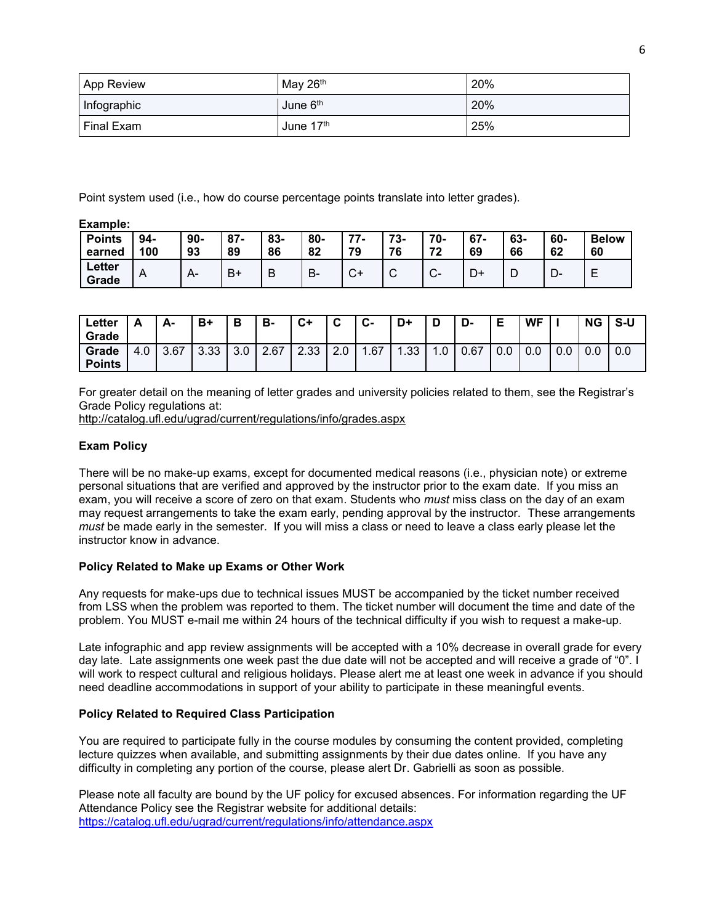| <b>App Review</b> | May 26th             | 20% |
|-------------------|----------------------|-----|
| Infographic       | June 6 <sup>th</sup> | 20% |
| Final Exam        | June 17th            | 25% |

Point system used (i.e., how do course percentage points translate into letter grades).

**Example:**

| <b>Points</b>          | 94-            | $90-$ | $87 -$ | 83- | $80-$ | 77          | 73- | 70-                    | $67 -$ | 63- | 60- | <b>Below</b> |
|------------------------|----------------|-------|--------|-----|-------|-------------|-----|------------------------|--------|-----|-----|--------------|
| earned                 | 100            | 93    | 89     | 86  | 82    | 79          | 76  | 72                     | 69     | 66  | 62  | 60           |
| <b>Letter</b><br>Grade | $\overline{A}$ | $A-$  | B۱     | B   | В-    | $\sim$<br>◡ | ◡   | $\sim$<br>$\mathbf{v}$ | D+     | L   | D-  | -            |

| Letter<br>Grade        | Δ   | А-   | B+   | в   | в-   | ◠∸<br>◡ | ◠<br>u | Ĉ<br>ს- | D+  | D       | - ש  | E<br>▃ | WF  |     | ΝG  | S-U |
|------------------------|-----|------|------|-----|------|---------|--------|---------|-----|---------|------|--------|-----|-----|-----|-----|
| Grade<br><b>Points</b> | 4.0 | 3.67 | 3.33 | 3.0 | 2.67 | 2.33    | 2.0    | 1.67    | .33 | $\cdot$ | 0.67 |        | 0.0 | 0.0 | 0.0 | U.U |

For greater detail on the meaning of letter grades and university policies related to them, see the Registrar's Grade Policy regulations at:

<http://catalog.ufl.edu/ugrad/current/regulations/info/grades.aspx>

# **Exam Policy**

There will be no make-up exams, except for documented medical reasons (i.e., physician note) or extreme personal situations that are verified and approved by the instructor prior to the exam date. If you miss an exam, you will receive a score of zero on that exam. Students who *must* miss class on the day of an exam may request arrangements to take the exam early, pending approval by the instructor. These arrangements *must* be made early in the semester. If you will miss a class or need to leave a class early please let the instructor know in advance.

# **Policy Related to Make up Exams or Other Work**

Any requests for make-ups due to technical issues MUST be accompanied by the ticket number received from LSS when the problem was reported to them. The ticket number will document the time and date of the problem. You MUST e-mail me within 24 hours of the technical difficulty if you wish to request a make-up.

Late infographic and app review assignments will be accepted with a 10% decrease in overall grade for every day late. Late assignments one week past the due date will not be accepted and will receive a grade of "0". I will work to respect cultural and religious holidays. Please alert me at least one week in advance if you should need deadline accommodations in support of your ability to participate in these meaningful events.

# **Policy Related to Required Class Participation**

You are required to participate fully in the course modules by consuming the content provided, completing lecture quizzes when available, and submitting assignments by their due dates online. If you have any difficulty in completing any portion of the course, please alert Dr. Gabrielli as soon as possible.

Please note all faculty are bound by the UF policy for excused absences. For information regarding the UF Attendance Policy see the Registrar website for additional details: <https://catalog.ufl.edu/ugrad/current/regulations/info/attendance.aspx>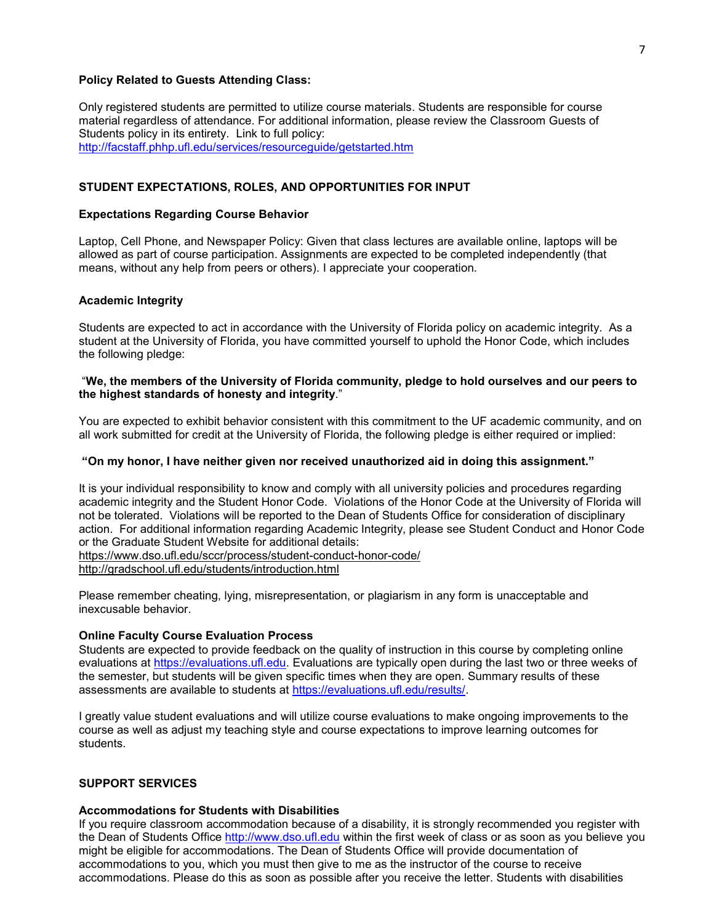#### **Policy Related to Guests Attending Class:**

Only registered students are permitted to utilize course materials. Students are responsible for course material regardless of attendance. For additional information, please review the Classroom Guests of Students policy in its entirety. Link to full policy: <http://facstaff.phhp.ufl.edu/services/resourceguide/getstarted.htm>

**STUDENT EXPECTATIONS, ROLES, AND OPPORTUNITIES FOR INPUT**

#### **Expectations Regarding Course Behavior**

Laptop, Cell Phone, and Newspaper Policy: Given that class lectures are available online, laptops will be allowed as part of course participation. Assignments are expected to be completed independently (that means, without any help from peers or others). I appreciate your cooperation.

### **Academic Integrity**

Students are expected to act in accordance with the University of Florida policy on academic integrity. As a student at the University of Florida, you have committed yourself to uphold the Honor Code, which includes the following pledge:

## "**We, the members of the University of Florida community, pledge to hold ourselves and our peers to the highest standards of honesty and integrity**."

You are expected to exhibit behavior consistent with this commitment to the UF academic community, and on all work submitted for credit at the University of Florida, the following pledge is either required or implied:

### **"On my honor, I have neither given nor received unauthorized aid in doing this assignment."**

It is your individual responsibility to know and comply with all university policies and procedures regarding academic integrity and the Student Honor Code. Violations of the Honor Code at the University of Florida will not be tolerated. Violations will be reported to the Dean of Students Office for consideration of disciplinary action. For additional information regarding Academic Integrity, please see Student Conduct and Honor Code or the Graduate Student Website for additional details: <https://www.dso.ufl.edu/sccr/process/student-conduct-honor-code/>

<http://gradschool.ufl.edu/students/introduction.html>

Please remember cheating, lying, misrepresentation, or plagiarism in any form is unacceptable and inexcusable behavior.

### **Online Faculty Course Evaluation Process**

Students are expected to provide feedback on the quality of instruction in this course by completing online evaluations at [https://evaluations.ufl.edu.](https://evaluations.ufl.edu/) Evaluations are typically open during the last two or three weeks of the semester, but students will be given specific times when they are open. Summary results of these assessments are available to students at [https://evaluations.ufl.edu/results/.](https://evaluations.ufl.edu/results/)

I greatly value student evaluations and will utilize course evaluations to make ongoing improvements to the course as well as adjust my teaching style and course expectations to improve learning outcomes for students.

# **SUPPORT SERVICES**

### **Accommodations for Students with Disabilities**

If you require classroom accommodation because of a disability, it is strongly recommended you register with the Dean of Students Office [http://www.dso.ufl.edu](http://www.dso.ufl.edu/) within the first week of class or as soon as you believe you might be eligible for accommodations. The Dean of Students Office will provide documentation of accommodations to you, which you must then give to me as the instructor of the course to receive accommodations. Please do this as soon as possible after you receive the letter. Students with disabilities